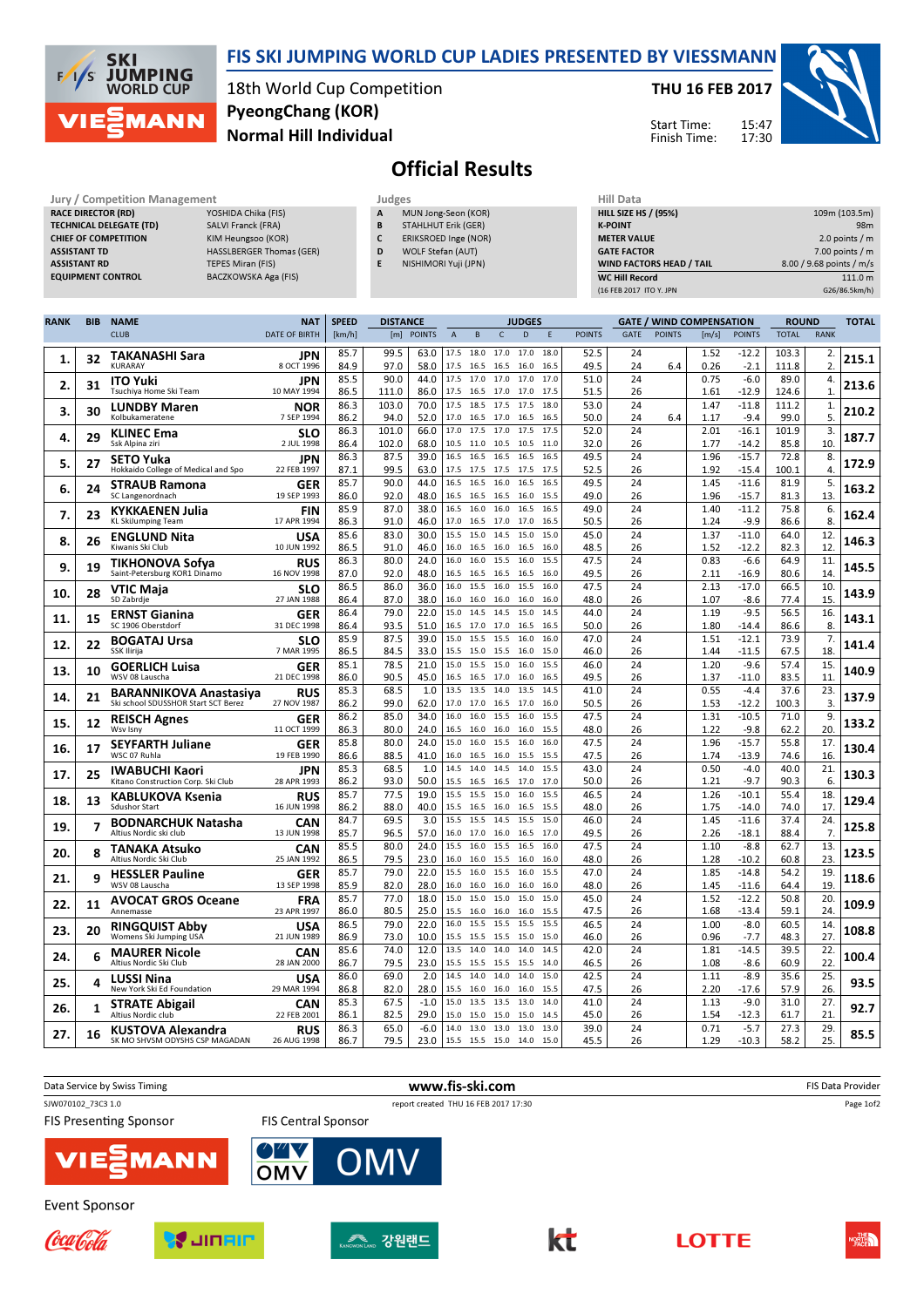

### FIS SKI JUMPING WORLD CUP LADIES PRESENTED BY VIESSMANN

18th World Cup Competition Normal Hill Individual PyeongChang (KOR)

#### THU 16 FEB 2017

Start Time: Finish Time: 15:47 17:30



# Official Results

| Jury / Competition Management                        | Judges                   | Hill Data                   |                          |
|------------------------------------------------------|--------------------------|-----------------------------|--------------------------|
| <b>RACE DIRECTOR (RD)</b><br>YOSHIDA Chika (FIS)     | MUN Jong-Seon (KOR)<br>A | <b>HILL SIZE HS / (95%)</b> | 109m (103.5m)            |
| <b>TECHNICAL DELEGATE (TD)</b><br>SALVI Franck (FRA) | STAHLHUT Erik (GER)<br>B | <b>K-POINT</b>              | 98 <sub>m</sub>          |
| KIM Heungsoo (KOR)<br><b>CHIEF OF COMPETITION</b>    | ERIKSROED Inge (NOR)     | <b>METER VALUE</b>          | 2.0 points $/m$          |
| HASSLBERGER Thomas (GER)<br><b>ASSISTANT TD</b>      | WOLF Stefan (AUT)<br>D   | <b>GATE FACTOR</b>          | $7.00$ points / m        |
| TEPES Miran (FIS)<br><b>ASSISTANT RD</b>             | NISHIMORI Yuji (JPN)     | WIND FACTORS HEAD / TAIL    | 8.00 / 9.68 points / m/s |
| BACZKOWSKA Aga (FIS)<br><b>EQUIPMENT CONTROL</b>     |                          | <b>WC Hill Record</b>       | 111.0 m                  |
|                                                      |                          | (16 FEB 2017 ITO Y. JPN     | G26/86.5km/h)            |

| <b>RANK</b> | <b>BIB</b> | <b>NAME</b>                                                 | <b>NAT</b>                | <b>SPEED</b> | <b>DISTANCE</b> |                |                   |                        |              | <b>JUDGES</b> |              |               |             |               | <b>GATE / WIND COMPENSATION</b> |                    | <b>ROUND</b>   |                    | <b>TOTAL</b> |
|-------------|------------|-------------------------------------------------------------|---------------------------|--------------|-----------------|----------------|-------------------|------------------------|--------------|---------------|--------------|---------------|-------------|---------------|---------------------------------|--------------------|----------------|--------------------|--------------|
|             |            | <b>CLUB</b>                                                 | <b>DATE OF BIRTH</b>      | [km/h]       | [m]             | <b>POINTS</b>  | $\overline{A}$    | B                      | $\mathsf{C}$ | D             | F            | <b>POINTS</b> | <b>GATE</b> | <b>POINTS</b> | [m/s]                           | <b>POINTS</b>      | <b>TOTAL</b>   | <b>RANK</b>        |              |
| 1.          | 32         | <b>TAKANASHI Sara</b><br><b>KURARAY</b>                     | JPN<br>8 OCT 1996         | 85.7<br>84.9 | 99.5<br>97.0    | 63.0<br>58.0   | 17.5<br>17.5      | 18.0<br>16.5           | 17.0<br>16.5 | 17.0<br>16.0  | 18.0<br>16.5 | 52.5<br>49.5  | 24<br>24    | 6.4           | 1.52<br>0.26                    | $-12.2$<br>$-2.1$  | 103.3<br>111.8 | 2.<br>2.           | 215.1        |
| 2.          | 31         | <b>ITO Yuki</b>                                             | JPN                       | 85.5         | 90.0            | 44.0           | 17.5              | 17.0 17.0              |              | 17.0          | 17.0         | 51.0          | 24          |               | 0.75                            | $-6.0$             | 89.0           | 4.                 | 213.6        |
|             |            | Tsuchiya Home Ski Team                                      | 10 MAY 1994               | 86.5<br>86.3 | 111.0<br>103.0  | 86.0<br>70.0   | 17.5<br>17.5      | 16.5 17.0<br>18.5      | 17.5         | 17.0<br>17.5  | 17.5<br>18.0 | 51.5<br>53.0  | 26<br>24    |               | 1.61<br>1.47                    | $-12.9$<br>$-11.8$ | 124.6<br>111.2 | $\mathbf{1}$<br>1. |              |
| 3.          | 30         | <b>LUNDBY Maren</b><br>Kolbukameratene                      | NOR<br>7 SEP 1994         | 86.2         | 94.0            | 52.0           | 17.0              | 16.5                   | 17.0         | 16.5          | 16.5         | 50.0          | 24          | 6.4           | 1.17                            | $-9.4$             | 99.0           | 5.                 | 210.2        |
| 4.          | 29         | <b>KLINEC Ema</b>                                           | <b>SLO</b>                | 86.3         | 101.0           | 66.0           | 17.0              | 17.5                   | 17.0         | 17.5          | 17.5         | 52.0          | 24          |               | 2.01                            | $-16.1$            | 101.9          | 3.                 | 187.7        |
|             |            | Ssk Alpina ziri<br><b>SETO Yuka</b>                         | 2 JUL 1998<br><b>JPN</b>  | 86.4<br>86.3 | 102.0<br>87.5   | 68.0<br>39.0   | 10.5<br>16.5      | 11.0<br>16.5           | 10.5<br>16.5 | 10.5<br>16.5  | 11.0<br>16.5 | 32.0<br>49.5  | 26<br>24    |               | 1.77<br>1.96                    | -14.2<br>$-15.7$   | 85.8<br>72.8   | 10.<br>8.          |              |
| 5.          | 27         | Hokkaido College of Medical and Spo                         | 22 FEB 1997               | 87.1         | 99.5            | 63.0           | 17.5              | 17.5                   | 17.5         | 17.5          | 17.5         | 52.5          | 26          |               | 1.92                            | $-15.4$            | 100.1          | 4.                 | 172.9        |
| 6.          | 24         | <b>STRAUB Ramona</b><br>SC Langenordnach                    | <b>GER</b><br>19 SEP 1993 | 85.7<br>86.0 | 90.0<br>92.0    | 44.0<br>48.0   | 16.5<br>16.5      | 16.5<br>16.5           | 16.0<br>16.5 | 16.5<br>16.0  | 16.5<br>15.5 | 49.5<br>49.0  | 24<br>26    |               | 1.45<br>1.96                    | $-11.6$<br>$-15.7$ | 81.9<br>81.3   | 5.<br>13.          | 163.2        |
|             |            | KYKKAENEN Julia                                             | FIN                       | 85.9         | 87.0            | 38.0           | 16.5              | 16.0                   | 16.0         | 16.5          | 16.5         | 49.0          | 24          |               | 1.40                            | $-11.2$            | 75.8           | 6.                 |              |
| 7.          | 23         | <b>KL SkiJumping Team</b>                                   | 17 APR 1994               | 86.3         | 91.0            | 46.0           | 17.0 16.5 17.0    |                        |              | 17.0          | 16.5         | 50.5          | 26          |               | 1.24                            | $-9.9$             | 86.6           | 8.                 | 162.4        |
| 8.          | 26         | <b>ENGLUND Nita</b><br>Kiwanis Ski Club                     | <b>USA</b><br>10 JUN 1992 | 85.6<br>86.5 | 83.0<br>91.0    | 30.0<br>46.0   | 15.5<br>16.0      | 15.0<br>16.5           | 14.5<br>16.0 | 15.0<br>16.5  | 15.0<br>16.0 | 45.0<br>48.5  | 24<br>26    |               | 1.37<br>1.52                    | $-11.0$<br>$-12.2$ | 64.0<br>82.3   | 12.<br>12          | 146.3        |
| 9.          | 19         | TIKHONOVA Sofya                                             | <b>RUS</b>                | 86.3         | 80.0            | 24.0           | 16.0              | 16.0                   | 15.5         | 16.0          | 15.5         | 47.5          | 24          |               | 0.83                            | $-6.6$             | 64.9           | 11.                | 145.5        |
|             |            | Saint-Petersburg KOR1 Dinamo                                | 16 NOV 1998               | 87.0<br>86.5 | 92.0<br>86.0    | 48.0<br>36.0   | 16.5<br>16.0      | 16.5<br>15.5           | 16.5<br>16.0 | 16.5<br>15.5  | 16.0<br>16.0 | 49.5<br>47.5  | 26<br>24    |               | 2.11<br>2.13                    | $-16.9$<br>$-17.0$ | 80.6<br>66.5   | 14.<br>10.         |              |
| 10.         | 28         | VTIC Maja<br>SD Zabrdje                                     | <b>SLO</b><br>27 JAN 1988 | 86.4         | 87.0            | 38.0           | 16.0              | 16.0                   | 16.0         | 16.0          | 16.0         | 48.0          | 26          |               | 1.07                            | $-8.6$             | 77.4           | 15.                | 143.9        |
| 11,         | 15         | <b>ERNST Gianina</b>                                        | GER                       | 86.4         | 79.0            | 22.0           | 15.0              | 14.5                   | 14.5         | 15.0          | 14.5         | 44.0          | 24          |               | 1.19                            | $-9.5$             | 56.5           | 16.                | 143.1        |
|             |            | SC 1906 Oberstdorf                                          | 31 DEC 1998<br>SLO        | 86.4<br>85.9 | 93.5<br>87.5    | 51.0<br>39.0   | 16.5<br>15.0      | 17.0<br>15.5           | 17.0<br>15.5 | 16.5<br>16.0  | 16.5<br>16.0 | 50.0<br>47.0  | 26<br>24    |               | 1.80<br>1.51                    | $-14.4$<br>$-12.1$ | 86.6<br>73.9   | 8.<br>7.           |              |
| 12.         | 22         | <b>BOGATAJ Ursa</b><br>SSK Ilirija                          | 7 MAR 1995                | 86.5         | 84.5            | 33.0           | 15.5              | 15.0                   | 15.5         | 16.0          | 15.0         | 46.0          | 26          |               | 1.44                            | $-11.5$            | 67.5           | 18.                | 141.4        |
| 13.         | 10         | <b>GOERLICH Luisa</b>                                       | <b>GER</b>                | 85.1         | 78.5            | 21.0           | 15.0              | 15.5                   | 15.0         | 16.0          | 15.5         | 46.0          | 24          |               | 1.20                            | $-9.6$             | 57.4           | 15.                | 140.9        |
|             |            | WSV 08 Lauscha<br><b>BARANNIKOVA Anastasiya</b>             | 21 DEC 1998<br><b>RUS</b> | 86.0<br>85.3 | 90.5<br>68.5    | 45.0<br>1.0    | 16.5 16.5<br>13.5 | 13.5                   | 17.0<br>14.0 | 16.0<br>13.5  | 16.5<br>14.5 | 49.5<br>41.0  | 26<br>24    |               | 1.37<br>0.55                    | -11.0<br>$-4.4$    | 83.5<br>37.6   | 11.<br>23.         |              |
| 14.         | 21         | Ski school SDUSSHOR Start SCT Berez                         | 27 NOV 1987               | 86.2         | 99.0            | 62.0           | 17.0              | 17.0                   | 16.5         | 17.0          | 16.0         | 50.5          | 26          |               | 1.53                            | $-12.2$            | 100.3          | $\overline{3}$     | 137.9        |
| 15          | 12         | <b>REISCH Agnes</b><br>Wsv Isny                             | <b>GER</b><br>11 OCT 1999 | 86.2<br>86.3 | 85.0<br>80.0    | 34.0<br>24.0   | 16.0<br>16.5      | 16.0<br>16.0           | 15.5<br>16.0 | 16.0<br>16.0  | 15.5<br>15.5 | 47.5<br>48.0  | 24<br>26    |               | 1.31<br>1.22                    | $-10.5$<br>$-9.8$  | 71.0<br>62.2   | 9.<br>20.          | 133.2        |
|             |            | SEYFARTH Juliane                                            | <b>GER</b>                | 85.8         | 80.0            | 24.0           | 15.0              | 16.0                   | 15.5         | 16.0          | 16.0         | 47.5          | 24          |               | 1.96                            | $-15.7$            | 55.8           | 17.                |              |
| 16.         | 17         | WSC 07 Ruhla                                                | 19 FEB 1990               | 86.6         | 88.5            | 41.0           | 16.0              | 16.5                   | 16.0         | 15.5          | 15.5         | 47.5          | 26          |               | 1.74                            | $-13.9$            | 74.6           | 16.                | 130.4        |
| 17.         | 25         | <b>IWABUCHI Kaori</b><br>Kitano Construction Corp. Ski Club | JPN<br>28 APR 1993        | 85.3<br>86.2 | 68.5<br>93.0    | 1.0<br>50.0    | 14.5<br>15.5      | 14.0<br>16.5           | 14.5<br>16.5 | 14.0<br>17.0  | 15.5<br>17.0 | 43.0<br>50.0  | 24<br>26    |               | 0.50<br>1.21                    | $-4.0$<br>$-9.7$   | 40.0<br>90.3   | 21.<br>6.          | 130.3        |
|             |            | <b>KABLUKOVA Ksenia</b>                                     | RUS                       | 85.7         | 77.5            | 19.0           | 15.5              | 15.5                   | 15.0         | 16.0          | 15.5         | 46.5          | 24          |               | 1.26                            | $-10.1$            | 55.4           | 18.                |              |
| 18.         | 13         | Sdushor Start                                               | 16 JUN 1998               | 86.2         | 88.0            | 40.0           | 15.5              | 16.5                   | 16.0         | 16.5          | 15.5         | 48.0          | 26          |               | 1.75                            | $-14.0$            | 74.0           | 17                 | 129.4        |
| 19          | 7          | <b>BODNARCHUK Natasha</b><br>Altius Nordic ski club         | CAN<br>13 JUN 1998        | 84.7<br>85.7 | 69.5<br>96.5    | 3.0<br>57.0    | 15.5<br>16.0      | 15.5<br>17.0           | 14.5<br>16.0 | 15.5<br>16.5  | 15.0<br>17.0 | 46.0<br>49.5  | 24<br>26    |               | 1.45<br>2.26                    | $-11.6$<br>$-18.1$ | 37.4<br>88.4   | 24.<br>7.          | 125.8        |
| 20.         | 8          | TANAKA Atsuko                                               | CAN                       | 85.5         | 80.0            | 24.0           | 15.5              | 16.0                   | 15.5         | 16.5          | 16.0         | 47.5          | 24          |               | 1.10                            | $-8.8$             | 62.7           | 13.                | 123.5        |
|             |            | Altius Nordic Ski Club                                      | 25 JAN 1992               | 86.5<br>85.7 | 79.5<br>79.0    | 23.0<br>22.0   | 16.0<br>15.5      | 16.0<br>16.0           | 15.5<br>15.5 | 16.0<br>16.0  | 16.0<br>15.5 | 48.0<br>47.0  | 26<br>24    |               | 1.28<br>1.85                    | $-10.2$<br>$-14.8$ | 60.8<br>54.2   | 23<br>19           |              |
| 21.         | 9          | <b>HESSLER Pauline</b><br>WSV 08 Lauscha                    | GER<br>13 SEP 1998        | 85.9         | 82.0            | 28.0           | 16.0              | 16.0 16.0              |              | 16.0          | 16.0         | 48.0          | 26          |               | 1.45                            | $-11.6$            | 64.4           | 19                 | 118.6        |
| 22.         | 11         | <b>AVOCAT GROS Oceane</b>                                   | <b>FRA</b>                | 85.7         | 77.0            | 18.0           | 15.0              | 15.0                   | 15.0         | 15.0          | 15.0         | 45.0          | 24          |               | 1.52                            | $-12.2$            | 50.8           | 20.                | 109.9        |
|             |            | Annemasse                                                   | 23 APR 1997               | 86.0<br>86.5 | 80.5<br>79.0    | 25.0<br>22.0   | 15.5              | 16.0<br>16.0 15.5 15.5 | 16.0         | 16.0<br>15.5  | 15.5<br>15.5 | 47.5<br>46.5  | 26<br>24    |               | 1.68<br>1.00                    | $-13.4$<br>$-8.0$  | 59.1<br>60.5   | 24<br>14.          |              |
| 23.         | 20         | <b>RINGQUIST Abby</b><br>Womens Ski Jumping USA             | <b>USA</b><br>21 JUN 1989 | 86.9         | 73.0            | 10.0           | 15.5              | 15.5                   | 15.5         | 15.0          | 15.0         | 46.0          | 26          |               | 0.96                            | $-7.7$             | 48.3           | 27.                | 108.8        |
| 24.         | 6          | <b>MAURER Nicole</b>                                        | <b>CAN</b>                | 85.6         | 74.0            | 12.0           | 13.5              | 14.0                   | 14.0         | 14.0          | 14.5         | 42.0          | 24          |               | 1.81                            | $-14.5$            | 39.5           | 22.                | 100.4        |
|             |            | Altius Nordic Ski Club<br>LUSSI Nina                        | 28 JAN 2000<br><b>USA</b> | 86.7<br>86.0 | 79.5<br>69.0    | 23.0<br>2.0    | 15.5<br>14.5      | 15.5<br>14.0           | 15.5<br>14.0 | 15.5<br>14.0  | 14.0<br>15.0 | 46.5<br>42.5  | 26<br>24    |               | 1.08<br>1.11                    | $-8.6$<br>$-8.9$   | 60.9<br>35.6   | 22<br>25.          |              |
| 25.         | 4          | New York Ski Ed Foundation                                  | 29 MAR 1994               | 86.8         | 82.0            | 28.0           | 15.5              | 16.0                   | 16.0         | 16.0          | 15.5         | 47.5          | 26          |               | 2.20                            | $-17.6$            | 57.9           | 26.                | 93.5         |
| 26          | 1          | <b>STRATE Abigail</b><br>Altius Nordic club                 | CAN<br>22 FEB 2001        | 85.3<br>86.1 | 67.5<br>82.5    | $-1.0$<br>29.0 | 15.0<br>15.0      | 13.5<br>15.0           | 13.5<br>15.0 | 13.0<br>15.0  | 14.0<br>14.5 | 41.0<br>45.0  | 24<br>26    |               | 1.13<br>1.54                    | $-9.0$<br>$-12.3$  | 31.0<br>61.7   | 27.<br>21          | 92.7         |
|             |            | KUSTOVA Alexandra                                           | <b>RUS</b>                | 86.3         | 65.0            | $-6.0$         | 14.0 13.0 13.0    |                        |              | 13.0          | 13.0         | 39.0          | 24          |               | 0.71                            | $-5.7$             | 27.3           | 29.                |              |
| 27.         | 16         | SK MO SHVSM ODYSHS CSP MAGADAN                              | 26 AUG 1998               | 86.7         | 79.5            | 23.0           | 15.5 15.5 15.0    |                        |              | 14.0          | 15.0         | 45.5          | 26          |               | 1.29                            | $-10.3$            | 58.2           | 25.                | 85.5         |